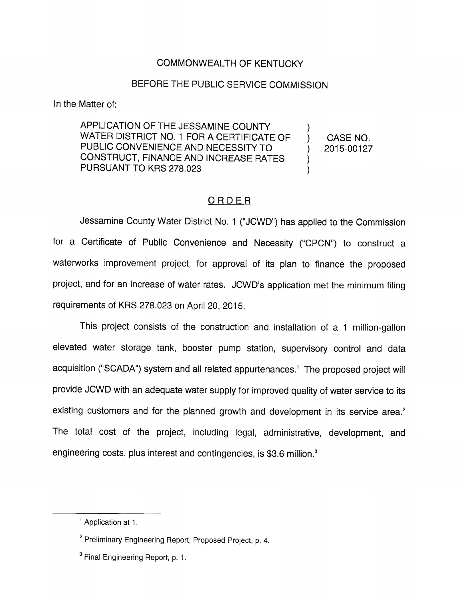## COMMONWEALTH OF KENTUCKY

## BEFORE THE PUBLIC SERVICE COMMISSION

In the Matter of;

APPLICATION OF THE JESSAMINE COUNTY WATER DISTRICT NO. 1 FOR A CERTIFICATE OF  $\qquad$  ) CASE NO. PUBLIC CONVENIENCE AND NECESSITY TO  $\qquad \qquad$  2015-00127 CONSTRUCT, FINANCE AND INCREASE RATES ) PURSUANT TO KRS 278.023 )

## ORDER

Jessamine County Water District No. 1 ("JCWD") has applied to the Commission for a Certificate of Public Convenience and Necessity ("CPCN") to construct a waterworks improvement project, for approval of its plan to finance the proposed project, and for an increase of water rates. JCWD's application met the minimum filing requirements of KRS 278.023 on April 20, 2015.

This project consists of the construction and installation of a 1 million-gallon elevated water storage tank, booster pump station, supervisory control and data acquisition ("SCADA") system and all related appurtenances.<sup>1</sup> The proposed project will provide JCWD with an adequate water supply for improved quality of water service to its existing customers and for the planned growth and development in its service area. $<sup>2</sup>$ </sup> The total cost of the project, including legal, administrative, development, and engineering costs, plus interest and contingencies, is \$3.6 million.<sup>3</sup>

<sup>&</sup>lt;sup>1</sup> Application at 1.

<sup>&</sup>lt;sup>2</sup> Preliminary Engineering Report, Proposed Project, p. 4.

 $<sup>3</sup>$  Final Engineering Report, p. 1.</sup>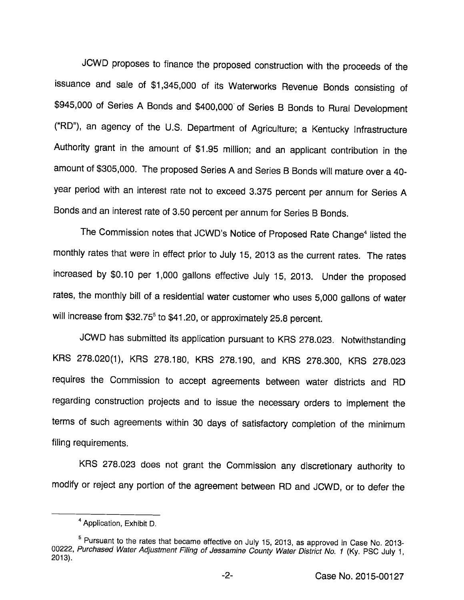JCWD proposes to finance the proposed construction with the proceeds of the issuance and sale of \$1,345,000 of its Waterworks Revenue Bonds consisting of \$945,000 of Series A Bonds and \$400,000 of Series B Bonds to Rural Development ("RD"), an agency of the U.S. Department of Agriculture; a Kentucky Infrastructure Authority grant in the amount of \$1.95 million; and an applicant contribution in the amount of \$305,000. The proposed Series A and Series B Bonds will mature over a 40year period with an interest rate not to exceed 3.375 percent per annum for Series A Bonds and an interest rate of 3.50 percent per annum for Series B Bonds.

The Commission notes that JCWD's Notice of Proposed Rate Change<sup>4</sup> listed the monthly rates that were in effect prior to July 15, 2013 as the current rates. The rates increased by \$0.10 per 1,000 gallons effective July 15, 2013. Under the proposed rates, the monthly bill of a residential water customer who uses 5,000 gallons of water will increase from \$32.75<sup>5</sup> to \$41.20, or approximately 25.8 percent.

JCWD has submitted its application pursuant to KRS 278.023. Notwithstanding KRS 278.020(1), KRS 278.180, KRS 278.190, and KRS 278.300, KRS 278.023 requires the Commission to accept agreements between water districts and RD regarding construction projects and to issue the necessary orders to implement the terms of such agreements within 30 days of satisfactory completion of the minimum filing requirements.

KRS 278.023 does not grant the Commission any discretionary authority to modify or reject any portion of the agreement between RD and JCWD, or to defer the

Application, Exhibit D.

<sup>&</sup>lt;sup>5</sup> Pursuant to the rates that became effective on July 15, 2013, as approved in Case No. 2013-00222, Purchased Water Adjustment Filing of Jessamine County Water District No. 1 (Ky. PSC July 1, 2013).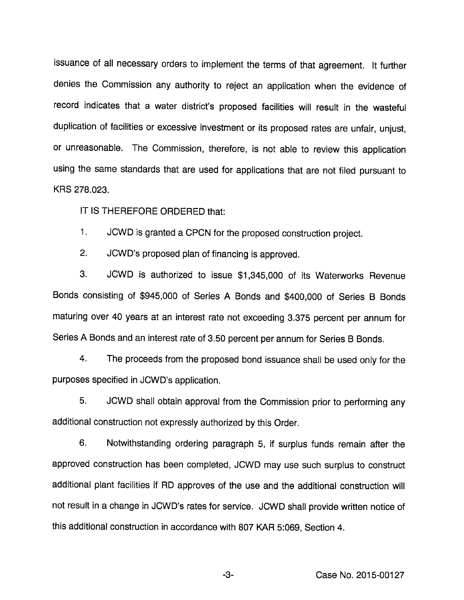issuance of all necessary orders to implement the terms of that agreement. It further denies the Commission any authority to reject an application when the evidence of record indicates that a water district's proposed facilities will result in the wasteful duplication of facilities or excessive investment or its proposed rates are unfair, unjust, or unreasonable. The Commission, therefore. Is not able to review this application using the same standards that are used for applications that are not filed pursuant to KRS 278.023.

IT IS THEREFORE ORDERED that:

1. JCWD Is granted a CPCN for the proposed construction project.

2. JCWD's proposed plan of financing is approved.

3. JCWD Is authorized to Issue \$1,345,000 of Its Waterworks Revenue Bonds consisting of \$945,000 of Series A Bonds and \$400,000 of Series B Bonds maturing over 40 years at an interest rate not exceeding 3.375 percent per annum for Series A Bonds and an interest rate of 3.50 percent per annum for Series B Bonds.

4. The proceeds from the proposed bond issuance shall be used only for the purposes specified in JCWD's application.

5. JCWD shall obtain approval from the Commission prior to performing any additional construction not expressly authorized by this Order.

6. Notwithstanding ordering paragraph 5, if surplus funds remain after the approved construction has been completed, JCWD may use such surplus to construct additional plant facilities if RD approves of the use and the additional construction will not result in a change in JCWD's rates for service. JCWD shall provide written notice of this additional construction in accordance with 807 KAR 5:069, Section 4.

Case No. 2015-00127

-3-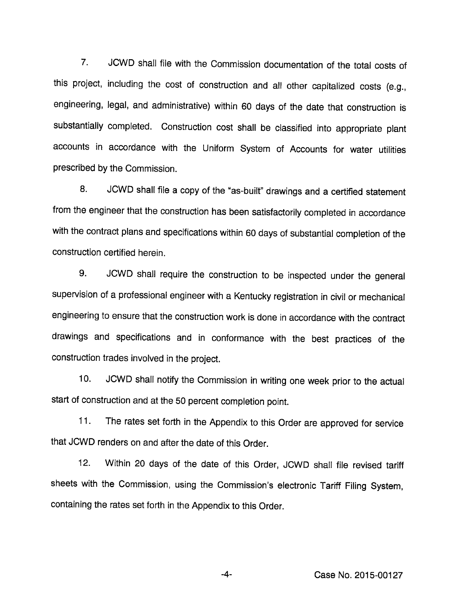7. JCWD shall file with the Commission documentation of the total costs of this project, including the cost of construction and all other capitalized costs (e.g., engineering, legal, and administrative) within 60 days of the date that construction is substantially completed. Construction cost shall be classified into appropriate piant accounts in accordance with the Uniform System of Accounts for water utilities prescribed by the Commission.

8. JCWD shall file a copy of the "as-built" drawings and a certified statement from the engineer that the construction has been satisfactorily completed in accordance with the contract plans and specifications within 60 days of substantiai completion of the construction certified herein.

9. JCWD shall require the construction to be inspected under the general supervision of a professional engineer with a Kentucky registration in civil or mechanical engineering to ensure that the construction work is done in accordance with the contract drawings and specifications and in conformance with the best practices of the construction trades involved in the project.

10. JCWD shall notify the Commission in writing one week prior to the actual start of construction and at the 50 percent completion point.

11. The rates set forth in the Appendix to this Order are approved for service that JCWD renders on and after the date of this Order.

12. Within 20 days of the date of this Order, JCWD shall file revised tariff sheets with the Commission, using the Commission's electronic Tariff Filing System, containing the rates set forth in the Appendix to this Order.

-4- Case No. 2015-00127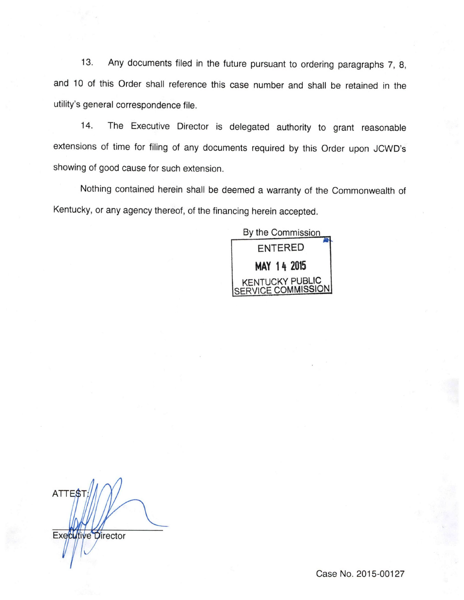13. Any documents filed in the future pursuant to ordering paragraphs 7, 8, and 10 of this Order shall reference this case number and shall be retained in the utility's general correspondence file.

14. The Executive Director is delegated authority to grant reasonable extensions of time for filing of any documents required by this Order upon JCWD's showing of good cause for such extension.

Nothing contained herein shall be deemed a warranty of the Commonwealth of Kentucky, or any agency thereof, of the financing herein accepted.

By the Commission entered MAY 14 2015 KENTUCKY PUBLIC OMMISSION

ATTES Executive Director

Case No. 2015-00127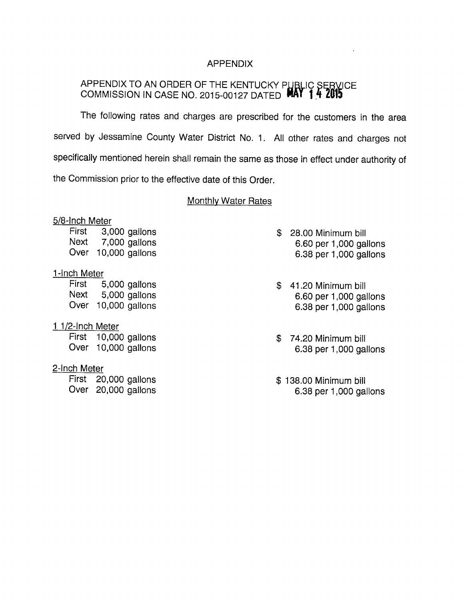### APPENDIX

# APPENDIX TO AN ORDER OF THE KENTUCKY PUBLIC SEBVICE COMMISSION IN CASE NO. 2015-00127 DATED **MAY 1.4 2015**

The following rates and charges are prescribed for the customers in the area served by Jessamine County Water District No. 1. All other rates and charges not specifically mentioned herein shall remain the same as those in effect under authority of the Commission prior to the effective date of this Order.

#### **Monthly Water Rates**

#### 5/8-Inch Meter

First 3,000 gallons Next 7,000 gallons Over 10,000 gallons

#### 1-Inch Meter

First 5,000 gallons Next 5,000 gallons Over 10,000 gallons

## 1 1/2-Inch Meter

First 10,000 gallons Over 10,000 gallons

#### 2-Inch Meter

First 20,000 gallons Over 20,000 gallons

- \$ 28.00 Minimum bill 6.60 per 1,000 gallons 6.38 per 1,000 gallons
- \$ 41.20 Minimum bill 6.60 per 1,000 gallons 6.38 per 1,000 gallons
- \$ 74.20 Minimum bill 6.38 per 1,000 gallons
- \$ 138.00 Minimum bill 6.38 per 1,000 gallons